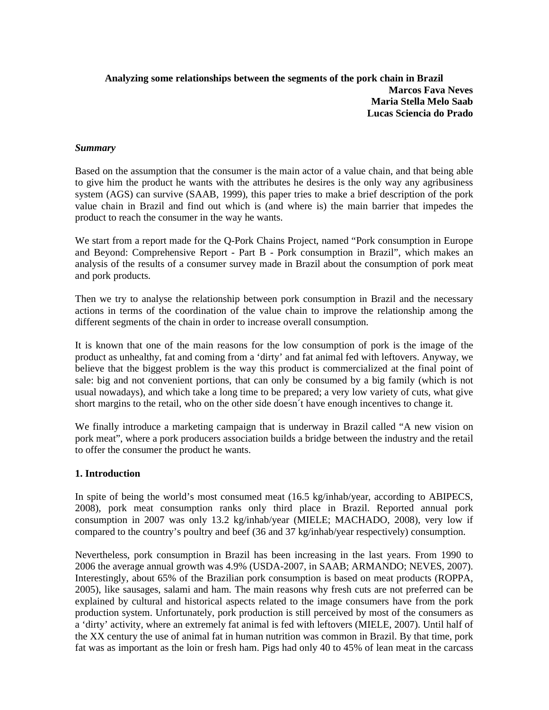## **Analyzing some relationships between the segments of the pork chain in Brazil Marcos Fava Neves Maria Stella Melo Saab Lucas Sciencia do Prado**

#### *Summary*

Based on the assumption that the consumer is the main actor of a value chain, and that being able to give him the product he wants with the attributes he desires is the only way any agribusiness system (AGS) can survive (SAAB, 1999), this paper tries to make a brief description of the pork value chain in Brazil and find out which is (and where is) the main barrier that impedes the product to reach the consumer in the way he wants.

We start from a report made for the Q-Pork Chains Project, named "Pork consumption in Europe and Beyond: Comprehensive Report - Part B - Pork consumption in Brazil", which makes an analysis of the results of a consumer survey made in Brazil about the consumption of pork meat and pork products.

Then we try to analyse the relationship between pork consumption in Brazil and the necessary actions in terms of the coordination of the value chain to improve the relationship among the different segments of the chain in order to increase overall consumption.

It is known that one of the main reasons for the low consumption of pork is the image of the product as unhealthy, fat and coming from a 'dirty' and fat animal fed with leftovers. Anyway, we believe that the biggest problem is the way this product is commercialized at the final point of sale: big and not convenient portions, that can only be consumed by a big family (which is not usual nowadays), and which take a long time to be prepared; a very low variety of cuts, what give short margins to the retail, who on the other side doesn´t have enough incentives to change it.

We finally introduce a marketing campaign that is underway in Brazil called "A new vision on pork meat", where a pork producers association builds a bridge between the industry and the retail to offer the consumer the product he wants.

### **1. Introduction**

In spite of being the world's most consumed meat (16.5 kg/inhab/year, according to ABIPECS, 2008), pork meat consumption ranks only third place in Brazil. Reported annual pork consumption in 2007 was only 13.2 kg/inhab/year (MIELE; MACHADO, 2008), very low if compared to the country's poultry and beef (36 and 37 kg/inhab/year respectively) consumption.

Nevertheless, pork consumption in Brazil has been increasing in the last years. From 1990 to 2006 the average annual growth was 4.9% (USDA-2007, in SAAB; ARMANDO; NEVES, 2007). Interestingly, about 65% of the Brazilian pork consumption is based on meat products (ROPPA, 2005), like sausages, salami and ham. The main reasons why fresh cuts are not preferred can be explained by cultural and historical aspects related to the image consumers have from the pork production system. Unfortunately, pork production is still perceived by most of the consumers as a 'dirty' activity, where an extremely fat animal is fed with leftovers (MIELE, 2007). Until half of the XX century the use of animal fat in human nutrition was common in Brazil. By that time, pork fat was as important as the loin or fresh ham. Pigs had only 40 to 45% of lean meat in the carcass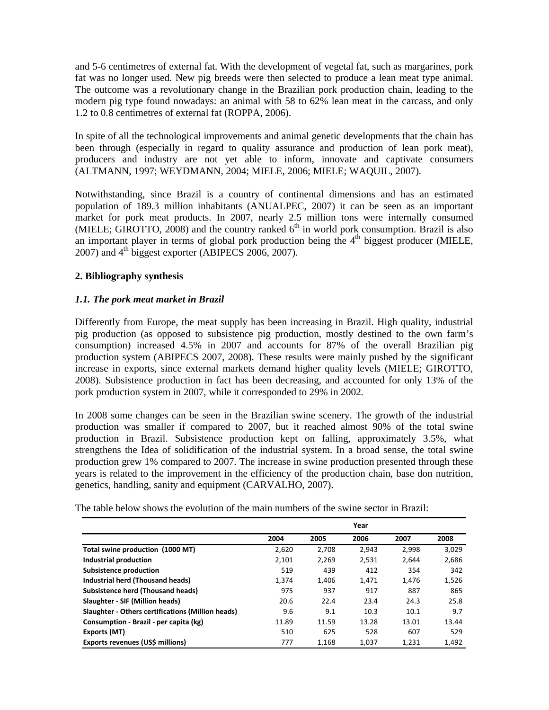and 5-6 centimetres of external fat. With the development of vegetal fat, such as margarines, pork fat was no longer used. New pig breeds were then selected to produce a lean meat type animal. The outcome was a revolutionary change in the Brazilian pork production chain, leading to the modern pig type found nowadays: an animal with 58 to 62% lean meat in the carcass, and only 1.2 to 0.8 centimetres of external fat (ROPPA, 2006).

In spite of all the technological improvements and animal genetic developments that the chain has been through (especially in regard to quality assurance and production of lean pork meat), producers and industry are not yet able to inform, innovate and captivate consumers (ALTMANN, 1997; WEYDMANN, 2004; MIELE, 2006; MIELE; WAQUIL, 2007).

Notwithstanding, since Brazil is a country of continental dimensions and has an estimated population of 189.3 million inhabitants (ANUALPEC, 2007) it can be seen as an important market for pork meat products. In 2007, nearly 2.5 million tons were internally consumed (MIELE; GIROTTO, 2008) and the country ranked  $6<sup>th</sup>$  in world pork consumption. Brazil is also an important player in terms of global pork production being the  $4<sup>th</sup>$  biggest producer (MIELE,  $2007$ ) and  $4<sup>th</sup>$  biggest exporter (ABIPECS 2006, 2007).

# **2. Bibliography synthesis**

## *1.1. The pork meat market in Brazil*

Differently from Europe, the meat supply has been increasing in Brazil. High quality, industrial pig production (as opposed to subsistence pig production, mostly destined to the own farm's consumption) increased 4.5% in 2007 and accounts for 87% of the overall Brazilian pig production system (ABIPECS 2007, 2008). These results were mainly pushed by the significant increase in exports, since external markets demand higher quality levels (MIELE; GIROTTO, 2008). Subsistence production in fact has been decreasing, and accounted for only 13% of the pork production system in 2007, while it corresponded to 29% in 2002.

In 2008 some changes can be seen in the Brazilian swine scenery. The growth of the industrial production was smaller if compared to 2007, but it reached almost 90% of the total swine production in Brazil. Subsistence production kept on falling, approximately 3.5%, what strengthens the Idea of solidification of the industrial system. In a broad sense, the total swine production grew 1% compared to 2007. The increase in swine production presented through these years is related to the improvement in the efficiency of the production chain, base don nutrition, genetics, handling, sanity and equipment (CARVALHO, 2007).

| The table below shows the evolution of the main numbers of the swine sector in Brazil: |
|----------------------------------------------------------------------------------------|
|----------------------------------------------------------------------------------------|

|                                                   |       |       | Year  |       |       |
|---------------------------------------------------|-------|-------|-------|-------|-------|
|                                                   | 2004  | 2005  | 2006  | 2007  | 2008  |
| Total swine production (1000 MT)                  | 2,620 | 2.708 | 2,943 | 2,998 | 3,029 |
| Industrial production                             | 2,101 | 2,269 | 2,531 | 2,644 | 2,686 |
| Subsistence production                            | 519   | 439   | 412   | 354   | 342   |
| Industrial herd (Thousand heads)                  | 1,374 | 1,406 | 1,471 | 1,476 | 1,526 |
| <b>Subsistence herd (Thousand heads)</b>          | 975   | 937   | 917   | 887   | 865   |
| Slaughter - SIF (Million heads)                   | 20.6  | 22.4  | 23.4  | 24.3  | 25.8  |
| Slaughter - Others certifications (Million heads) | 9.6   | 9.1   | 10.3  | 10.1  | 9.7   |
| Consumption - Brazil - per capita (kg)            | 11.89 | 11.59 | 13.28 | 13.01 | 13.44 |
| Exports (MT)                                      | 510   | 625   | 528   | 607   | 529   |
| Exports revenues (US\$ millions)                  | 777   | 1,168 | 1,037 | 1,231 | 1,492 |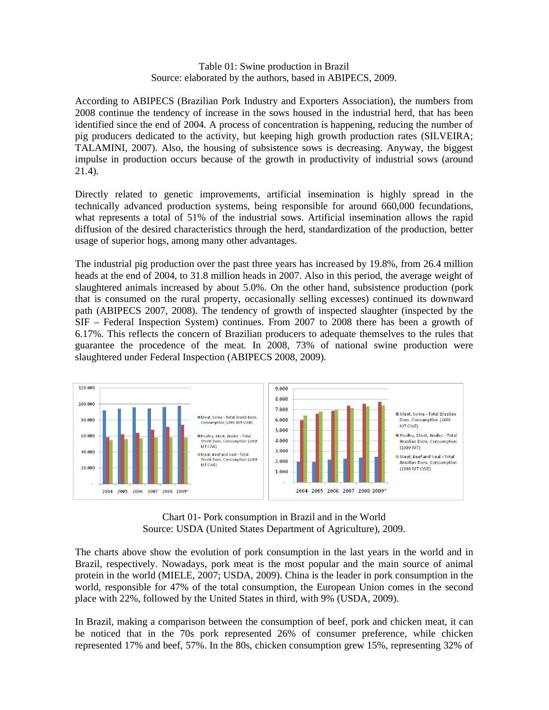### Table 01: Swine production in Brazil Source: elaborated by the authors, based in ABIPECS, 2009.

According to ABIPECS (Brazilian Pork Industry and Exporters Association), the numbers from 2008 continue the tendency of increase in the sows housed in the industrial herd, that has been identified since the end of 2004. A process of concentration is happening, reducing the number of pig producers dedicated to the activity, but keeping high growth production rates (SILVEIRA; TALAMINI, 2007). Also, the housing of subsistence sows is decreasing. Anyway, the biggest impulse in production occurs because of the growth in productivity of industrial sows (around 21.4).

Directly related to genetic improvements, artificial insemination is highly spread in the technically advanced production systems, being responsible for around 660,000 fecundations, what represents a total of 51% of the industrial sows. Artificial insemination allows the rapid diffusion of the desired characteristics through the herd, standardization of the production, better usage of superior hogs, among many other advantages.

The industrial pig production over the past three years has increased by 19.8%, from 26.4 million heads at the end of 2004, to 31.8 million heads in 2007. Also in this period, the average weight of slaughtered animals increased by about 5.0%. On the other hand, subsistence production (pork that is consumed on the rural property, occasionally selling excesses) continued its downward path (ABIPECS 2007, 2008). The tendency of growth of inspected slaughter (inspected by the SIF – Federal Inspection System) continues. From 2007 to 2008 there has been a growth of 6.17%. This reflects the concern of Brazilian producers to adequate themselves to the rules that guarantee the procedence of the meat. In 2008, 73% of national swine production were slaughtered under Federal Inspection (ABIPECS 2008, 2009).





The charts above show the evolution of pork consumption in the last years in the world and in Brazil, respectively. Nowadays, pork meat is the most popular and the main source of animal protein in the world (MIELE, 2007; USDA, 2009). China is the leader in pork consumption in the world, responsible for 47% of the total consumption, the European Union comes in the second place with 22%, followed by the United States in third, with 9% (USDA, 2009).

In Brazil, making a comparison between the consumption of beef, pork and chicken meat, it can be noticed that in the 70s pork represented 26% of consumer preference, while chicken represented 17% and beef, 57%. In the 80s, chicken consumption grew 15%, representing 32% of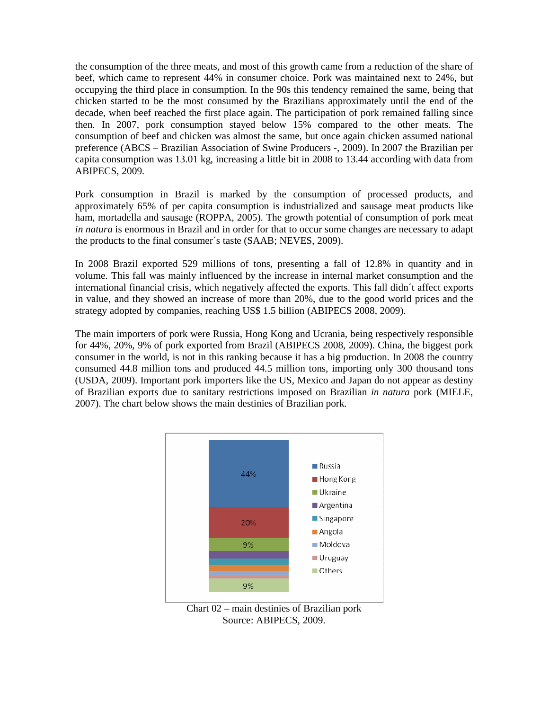the consumption of the three meats, and most of this growth came from a reduction of the share of beef, which came to represent 44% in consumer choice. Pork was maintained next to 24%, but occupying the third place in consumption. In the 90s this tendency remained the same, being that chicken started to be the most consumed by the Brazilians approximately until the end of the decade, when beef reached the first place again. The participation of pork remained falling since then. In 2007, pork consumption stayed below 15% compared to the other meats. The consumption of beef and chicken was almost the same, but once again chicken assumed national preference (ABCS – Brazilian Association of Swine Producers -, 2009). In 2007 the Brazilian per capita consumption was 13.01 kg, increasing a little bit in 2008 to 13.44 according with data from ABIPECS, 2009.

Pork consumption in Brazil is marked by the consumption of processed products, and approximately 65% of per capita consumption is industrialized and sausage meat products like ham, mortadella and sausage (ROPPA, 2005). The growth potential of consumption of pork meat *in natura* is enormous in Brazil and in order for that to occur some changes are necessary to adapt the products to the final consumer´s taste (SAAB; NEVES, 2009).

In 2008 Brazil exported 529 millions of tons, presenting a fall of 12.8% in quantity and in volume. This fall was mainly influenced by the increase in internal market consumption and the international financial crisis, which negatively affected the exports. This fall didn´t affect exports in value, and they showed an increase of more than 20%, due to the good world prices and the strategy adopted by companies, reaching US\$ 1.5 billion (ABIPECS 2008, 2009).

The main importers of pork were Russia, Hong Kong and Ucrania, being respectively responsible for 44%, 20%, 9% of pork exported from Brazil (ABIPECS 2008, 2009). China, the biggest pork consumer in the world, is not in this ranking because it has a big production. In 2008 the country consumed 44.8 million tons and produced 44.5 million tons, importing only 300 thousand tons (USDA, 2009). Important pork importers like the US, Mexico and Japan do not appear as destiny of Brazilian exports due to sanitary restrictions imposed on Brazilian *in natura* pork (MIELE, 2007). The chart below shows the main destinies of Brazilian pork.



Chart 02 – main destinies of Brazilian pork Source: ABIPECS, 2009.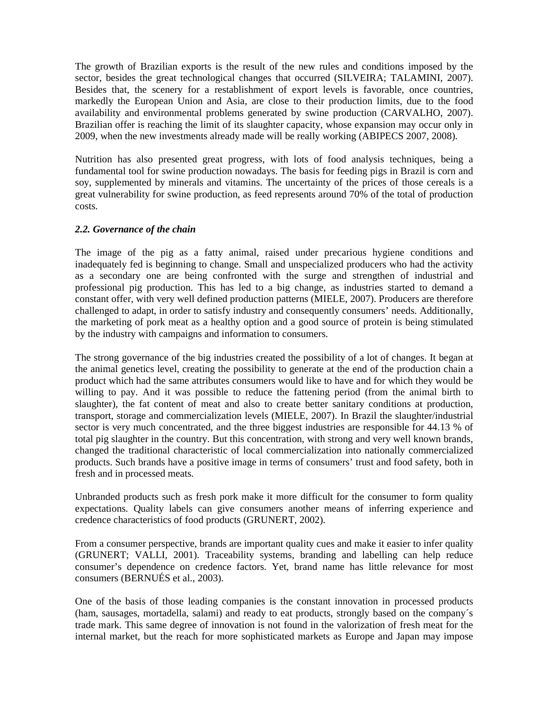The growth of Brazilian exports is the result of the new rules and conditions imposed by the sector, besides the great technological changes that occurred (SILVEIRA; TALAMINI, 2007). Besides that, the scenery for a restablishment of export levels is favorable, once countries, markedly the European Union and Asia, are close to their production limits, due to the food availability and environmental problems generated by swine production (CARVALHO, 2007). Brazilian offer is reaching the limit of its slaughter capacity, whose expansion may occur only in 2009, when the new investments already made will be really working (ABIPECS 2007, 2008).

Nutrition has also presented great progress, with lots of food analysis techniques, being a fundamental tool for swine production nowadays. The basis for feeding pigs in Brazil is corn and soy, supplemented by minerals and vitamins. The uncertainty of the prices of those cereals is a great vulnerability for swine production, as feed represents around 70% of the total of production costs.

## *2.2. Governance of the chain*

The image of the pig as a fatty animal, raised under precarious hygiene conditions and inadequately fed is beginning to change. Small and unspecialized producers who had the activity as a secondary one are being confronted with the surge and strengthen of industrial and professional pig production. This has led to a big change, as industries started to demand a constant offer, with very well defined production patterns (MIELE, 2007). Producers are therefore challenged to adapt, in order to satisfy industry and consequently consumers' needs. Additionally, the marketing of pork meat as a healthy option and a good source of protein is being stimulated by the industry with campaigns and information to consumers.

The strong governance of the big industries created the possibility of a lot of changes. It began at the animal genetics level, creating the possibility to generate at the end of the production chain a product which had the same attributes consumers would like to have and for which they would be willing to pay. And it was possible to reduce the fattening period (from the animal birth to slaughter), the fat content of meat and also to create better sanitary conditions at production, transport, storage and commercialization levels (MIELE, 2007). In Brazil the slaughter/industrial sector is very much concentrated, and the three biggest industries are responsible for 44.13 % of total pig slaughter in the country. But this concentration, with strong and very well known brands, changed the traditional characteristic of local commercialization into nationally commercialized products. Such brands have a positive image in terms of consumers' trust and food safety, both in fresh and in processed meats.

Unbranded products such as fresh pork make it more difficult for the consumer to form quality expectations. Quality labels can give consumers another means of inferring experience and credence characteristics of food products (GRUNERT, 2002).

From a consumer perspective, brands are important quality cues and make it easier to infer quality (GRUNERT; VALLI, 2001). Traceability systems, branding and labelling can help reduce consumer's dependence on credence factors. Yet, brand name has little relevance for most consumers (BERNUÉS et al., 2003).

One of the basis of those leading companies is the constant innovation in processed products (ham, sausages, mortadella, salami) and ready to eat products, strongly based on the company´s trade mark. This same degree of innovation is not found in the valorization of fresh meat for the internal market, but the reach for more sophisticated markets as Europe and Japan may impose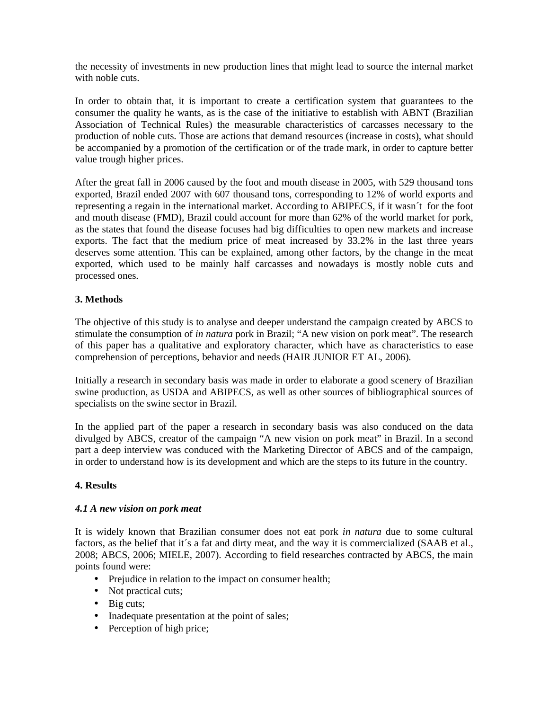the necessity of investments in new production lines that might lead to source the internal market with noble cuts.

In order to obtain that, it is important to create a certification system that guarantees to the consumer the quality he wants, as is the case of the initiative to establish with ABNT (Brazilian Association of Technical Rules) the measurable characteristics of carcasses necessary to the production of noble cuts. Those are actions that demand resources (increase in costs), what should be accompanied by a promotion of the certification or of the trade mark, in order to capture better value trough higher prices.

After the great fall in 2006 caused by the foot and mouth disease in 2005, with 529 thousand tons exported, Brazil ended 2007 with 607 thousand tons, corresponding to 12% of world exports and representing a regain in the international market. According to ABIPECS, if it wasn´t for the foot and mouth disease (FMD), Brazil could account for more than 62% of the world market for pork, as the states that found the disease focuses had big difficulties to open new markets and increase exports. The fact that the medium price of meat increased by 33.2% in the last three years deserves some attention. This can be explained, among other factors, by the change in the meat exported, which used to be mainly half carcasses and nowadays is mostly noble cuts and processed ones.

## **3. Methods**

The objective of this study is to analyse and deeper understand the campaign created by ABCS to stimulate the consumption of *in natura* pork in Brazil; "A new vision on pork meat". The research of this paper has a qualitative and exploratory character, which have as characteristics to ease comprehension of perceptions, behavior and needs (HAIR JUNIOR ET AL, 2006).

Initially a research in secondary basis was made in order to elaborate a good scenery of Brazilian swine production, as USDA and ABIPECS, as well as other sources of bibliographical sources of specialists on the swine sector in Brazil.

In the applied part of the paper a research in secondary basis was also conduced on the data divulged by ABCS, creator of the campaign "A new vision on pork meat" in Brazil. In a second part a deep interview was conduced with the Marketing Director of ABCS and of the campaign, in order to understand how is its development and which are the steps to its future in the country.

### **4. Results**

### *4.1 A new vision on pork meat*

It is widely known that Brazilian consumer does not eat pork *in natura* due to some cultural factors, as the belief that it's a fat and dirty meat, and the way it is commercialized (SAAB et al., 2008; ABCS, 2006; MIELE, 2007). According to field researches contracted by ABCS, the main points found were:

- Prejudice in relation to the impact on consumer health;
- Not practical cuts;
- Big cuts;
- Inadequate presentation at the point of sales;
- Perception of high price;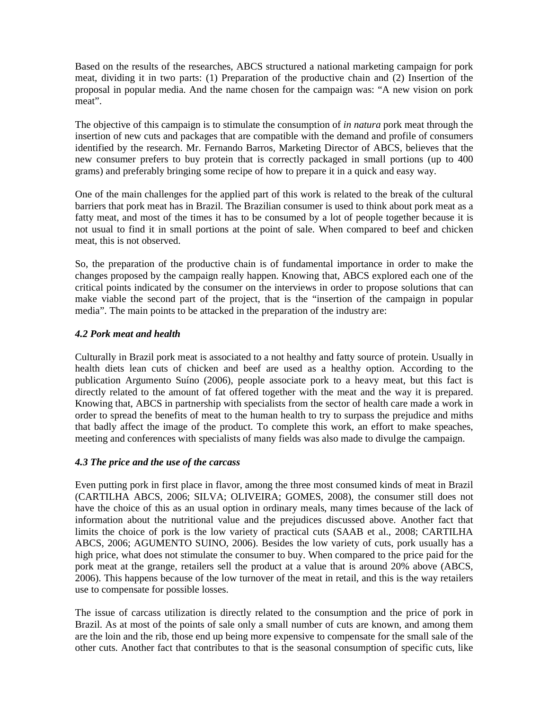Based on the results of the researches, ABCS structured a national marketing campaign for pork meat, dividing it in two parts: (1) Preparation of the productive chain and (2) Insertion of the proposal in popular media. And the name chosen for the campaign was: "A new vision on pork meat".

The objective of this campaign is to stimulate the consumption of *in natura* pork meat through the insertion of new cuts and packages that are compatible with the demand and profile of consumers identified by the research. Mr. Fernando Barros, Marketing Director of ABCS, believes that the new consumer prefers to buy protein that is correctly packaged in small portions (up to 400 grams) and preferably bringing some recipe of how to prepare it in a quick and easy way.

One of the main challenges for the applied part of this work is related to the break of the cultural barriers that pork meat has in Brazil. The Brazilian consumer is used to think about pork meat as a fatty meat, and most of the times it has to be consumed by a lot of people together because it is not usual to find it in small portions at the point of sale. When compared to beef and chicken meat, this is not observed.

So, the preparation of the productive chain is of fundamental importance in order to make the changes proposed by the campaign really happen. Knowing that, ABCS explored each one of the critical points indicated by the consumer on the interviews in order to propose solutions that can make viable the second part of the project, that is the "insertion of the campaign in popular media". The main points to be attacked in the preparation of the industry are:

## *4.2 Pork meat and health*

Culturally in Brazil pork meat is associated to a not healthy and fatty source of protein. Usually in health diets lean cuts of chicken and beef are used as a healthy option. According to the publication Argumento Suíno (2006), people associate pork to a heavy meat, but this fact is directly related to the amount of fat offered together with the meat and the way it is prepared. Knowing that, ABCS in partnership with specialists from the sector of health care made a work in order to spread the benefits of meat to the human health to try to surpass the prejudice and miths that badly affect the image of the product. To complete this work, an effort to make speaches, meeting and conferences with specialists of many fields was also made to divulge the campaign.

# *4.3 The price and the use of the carcass*

Even putting pork in first place in flavor, among the three most consumed kinds of meat in Brazil (CARTILHA ABCS, 2006; SILVA; OLIVEIRA; GOMES, 2008), the consumer still does not have the choice of this as an usual option in ordinary meals, many times because of the lack of information about the nutritional value and the prejudices discussed above. Another fact that limits the choice of pork is the low variety of practical cuts (SAAB et al., 2008; CARTILHA ABCS, 2006; AGUMENTO SUINO, 2006). Besides the low variety of cuts, pork usually has a high price, what does not stimulate the consumer to buy. When compared to the price paid for the pork meat at the grange, retailers sell the product at a value that is around 20% above (ABCS, 2006). This happens because of the low turnover of the meat in retail, and this is the way retailers use to compensate for possible losses.

The issue of carcass utilization is directly related to the consumption and the price of pork in Brazil. As at most of the points of sale only a small number of cuts are known, and among them are the loin and the rib, those end up being more expensive to compensate for the small sale of the other cuts. Another fact that contributes to that is the seasonal consumption of specific cuts, like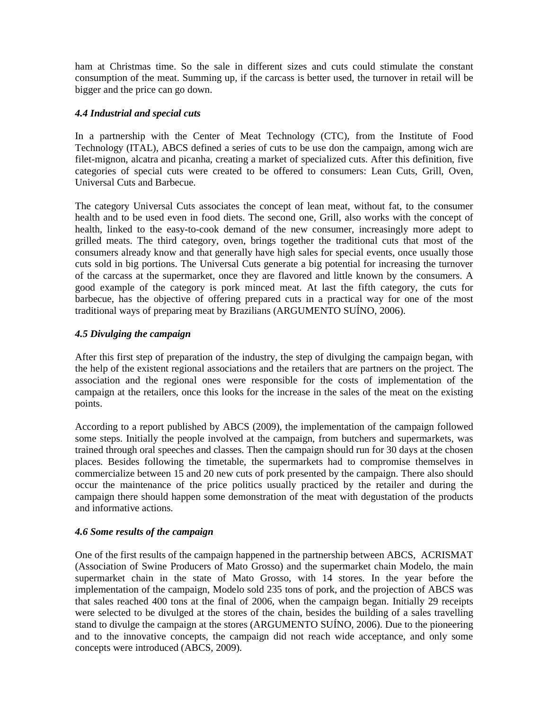ham at Christmas time. So the sale in different sizes and cuts could stimulate the constant consumption of the meat. Summing up, if the carcass is better used, the turnover in retail will be bigger and the price can go down.

### *4.4 Industrial and special cuts*

In a partnership with the Center of Meat Technology (CTC), from the Institute of Food Technology (ITAL), ABCS defined a series of cuts to be use don the campaign, among wich are filet-mignon, alcatra and picanha, creating a market of specialized cuts. After this definition, five categories of special cuts were created to be offered to consumers: Lean Cuts, Grill, Oven, Universal Cuts and Barbecue.

The category Universal Cuts associates the concept of lean meat, without fat, to the consumer health and to be used even in food diets. The second one, Grill, also works with the concept of health, linked to the easy-to-cook demand of the new consumer, increasingly more adept to grilled meats. The third category, oven, brings together the traditional cuts that most of the consumers already know and that generally have high sales for special events, once usually those cuts sold in big portions. The Universal Cuts generate a big potential for increasing the turnover of the carcass at the supermarket, once they are flavored and little known by the consumers. A good example of the category is pork minced meat. At last the fifth category, the cuts for barbecue, has the objective of offering prepared cuts in a practical way for one of the most traditional ways of preparing meat by Brazilians (ARGUMENTO SUÍNO, 2006).

## *4.5 Divulging the campaign*

After this first step of preparation of the industry, the step of divulging the campaign began, with the help of the existent regional associations and the retailers that are partners on the project. The association and the regional ones were responsible for the costs of implementation of the campaign at the retailers, once this looks for the increase in the sales of the meat on the existing points.

According to a report published by ABCS (2009), the implementation of the campaign followed some steps. Initially the people involved at the campaign, from butchers and supermarkets, was trained through oral speeches and classes. Then the campaign should run for 30 days at the chosen places. Besides following the timetable, the supermarkets had to compromise themselves in commercialize between 15 and 20 new cuts of pork presented by the campaign. There also should occur the maintenance of the price politics usually practiced by the retailer and during the campaign there should happen some demonstration of the meat with degustation of the products and informative actions.

### *4.6 Some results of the campaign*

One of the first results of the campaign happened in the partnership between ABCS, ACRISMAT (Association of Swine Producers of Mato Grosso) and the supermarket chain Modelo, the main supermarket chain in the state of Mato Grosso, with 14 stores. In the year before the implementation of the campaign, Modelo sold 235 tons of pork, and the projection of ABCS was that sales reached 400 tons at the final of 2006, when the campaign began. Initially 29 receipts were selected to be divulged at the stores of the chain, besides the building of a sales travelling stand to divulge the campaign at the stores (ARGUMENTO SUÍNO, 2006). Due to the pioneering and to the innovative concepts, the campaign did not reach wide acceptance, and only some concepts were introduced (ABCS, 2009).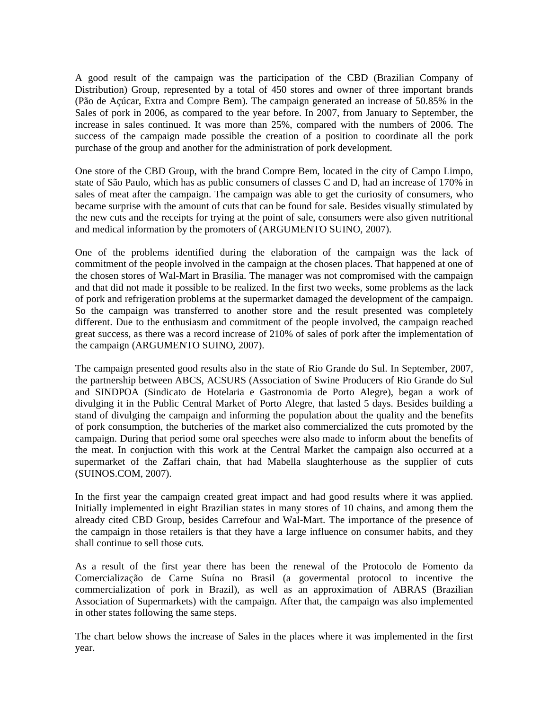A good result of the campaign was the participation of the CBD (Brazilian Company of Distribution) Group, represented by a total of 450 stores and owner of three important brands (Pão de Açúcar, Extra and Compre Bem). The campaign generated an increase of 50.85% in the Sales of pork in 2006, as compared to the year before. In 2007, from January to September, the increase in sales continued. It was more than 25%, compared with the numbers of 2006. The success of the campaign made possible the creation of a position to coordinate all the pork purchase of the group and another for the administration of pork development.

One store of the CBD Group, with the brand Compre Bem, located in the city of Campo Limpo, state of São Paulo, which has as public consumers of classes C and D, had an increase of 170% in sales of meat after the campaign. The campaign was able to get the curiosity of consumers, who became surprise with the amount of cuts that can be found for sale. Besides visually stimulated by the new cuts and the receipts for trying at the point of sale, consumers were also given nutritional and medical information by the promoters of (ARGUMENTO SUINO, 2007).

One of the problems identified during the elaboration of the campaign was the lack of commitment of the people involved in the campaign at the chosen places. That happened at one of the chosen stores of Wal-Mart in Brasília. The manager was not compromised with the campaign and that did not made it possible to be realized. In the first two weeks, some problems as the lack of pork and refrigeration problems at the supermarket damaged the development of the campaign. So the campaign was transferred to another store and the result presented was completely different. Due to the enthusiasm and commitment of the people involved, the campaign reached great success, as there was a record increase of 210% of sales of pork after the implementation of the campaign (ARGUMENTO SUINO, 2007).

The campaign presented good results also in the state of Rio Grande do Sul. In September, 2007, the partnership between ABCS, ACSURS (Association of Swine Producers of Rio Grande do Sul and SINDPOA (Sindicato de Hotelaria e Gastronomia de Porto Alegre), began a work of divulging it in the Public Central Market of Porto Alegre, that lasted 5 days. Besides building a stand of divulging the campaign and informing the population about the quality and the benefits of pork consumption, the butcheries of the market also commercialized the cuts promoted by the campaign. During that period some oral speeches were also made to inform about the benefits of the meat. In conjuction with this work at the Central Market the campaign also occurred at a supermarket of the Zaffari chain, that had Mabella slaughterhouse as the supplier of cuts (SUINOS.COM, 2007).

In the first year the campaign created great impact and had good results where it was applied. Initially implemented in eight Brazilian states in many stores of 10 chains, and among them the already cited CBD Group, besides Carrefour and Wal-Mart. The importance of the presence of the campaign in those retailers is that they have a large influence on consumer habits, and they shall continue to sell those cuts.

As a result of the first year there has been the renewal of the Protocolo de Fomento da Comercialização de Carne Suína no Brasil (a govermental protocol to incentive the commercialization of pork in Brazil), as well as an approximation of ABRAS (Brazilian Association of Supermarkets) with the campaign. After that, the campaign was also implemented in other states following the same steps.

The chart below shows the increase of Sales in the places where it was implemented in the first year.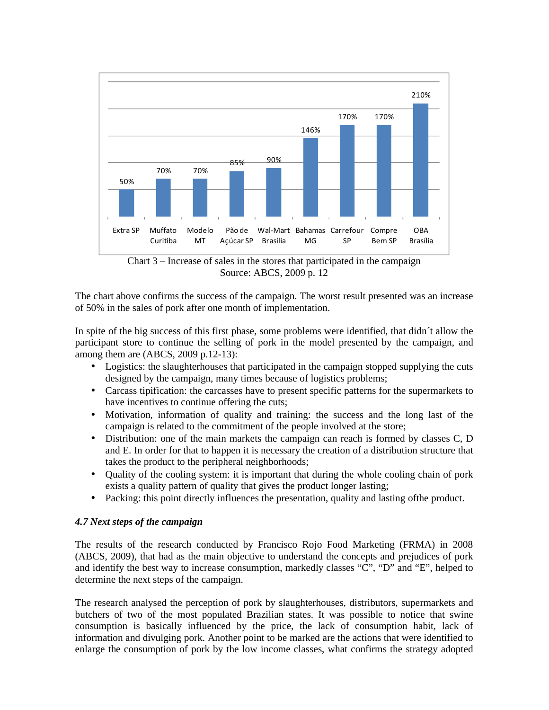

Source: ABCS, 2009 p. 12

The chart above confirms the success of the campaign. The worst result presented was an increase of 50% in the sales of pork after one month of implementation.

In spite of the big success of this first phase, some problems were identified, that didn´t allow the participant store to continue the selling of pork in the model presented by the campaign, and among them are (ABCS, 2009 p.12-13):

- Logistics: the slaughterhouses that participated in the campaign stopped supplying the cuts designed by the campaign, many times because of logistics problems;
- Carcass tipification: the carcasses have to present specific patterns for the supermarkets to have incentives to continue offering the cuts;
- Motivation, information of quality and training: the success and the long last of the campaign is related to the commitment of the people involved at the store;
- Distribution: one of the main markets the campaign can reach is formed by classes C, D and E. In order for that to happen it is necessary the creation of a distribution structure that takes the product to the peripheral neighborhoods;
- Ouality of the cooling system: it is important that during the whole cooling chain of pork exists a quality pattern of quality that gives the product longer lasting;
- Packing: this point directly influences the presentation, quality and lasting of the product.

# *4.7 Next steps of the campaign*

The results of the research conducted by Francisco Rojo Food Marketing (FRMA) in 2008 (ABCS, 2009), that had as the main objective to understand the concepts and prejudices of pork and identify the best way to increase consumption, markedly classes "C", "D" and "E", helped to determine the next steps of the campaign.

The research analysed the perception of pork by slaughterhouses, distributors, supermarkets and butchers of two of the most populated Brazilian states. It was possible to notice that swine consumption is basically influenced by the price, the lack of consumption habit, lack of information and divulging pork. Another point to be marked are the actions that were identified to enlarge the consumption of pork by the low income classes, what confirms the strategy adopted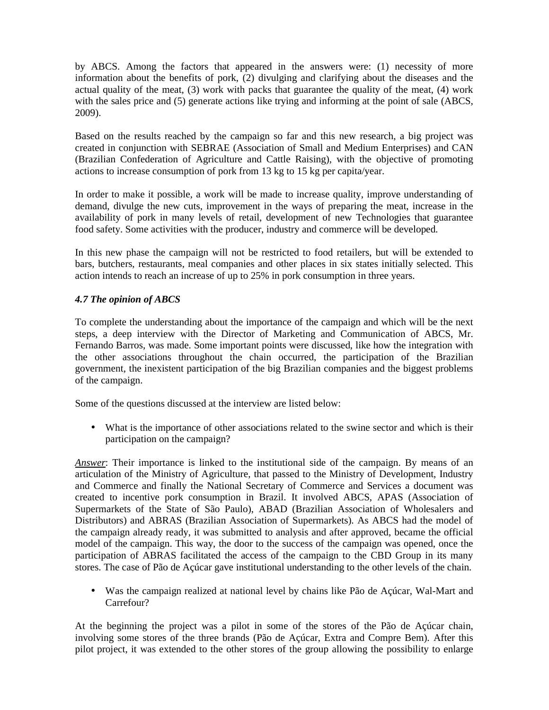by ABCS. Among the factors that appeared in the answers were: (1) necessity of more information about the benefits of pork, (2) divulging and clarifying about the diseases and the actual quality of the meat, (3) work with packs that guarantee the quality of the meat, (4) work with the sales price and (5) generate actions like trying and informing at the point of sale (ABCS, 2009).

Based on the results reached by the campaign so far and this new research, a big project was created in conjunction with SEBRAE (Association of Small and Medium Enterprises) and CAN (Brazilian Confederation of Agriculture and Cattle Raising), with the objective of promoting actions to increase consumption of pork from 13 kg to 15 kg per capita/year.

In order to make it possible, a work will be made to increase quality, improve understanding of demand, divulge the new cuts, improvement in the ways of preparing the meat, increase in the availability of pork in many levels of retail, development of new Technologies that guarantee food safety. Some activities with the producer, industry and commerce will be developed.

In this new phase the campaign will not be restricted to food retailers, but will be extended to bars, butchers, restaurants, meal companies and other places in six states initially selected. This action intends to reach an increase of up to 25% in pork consumption in three years.

# *4.7 The opinion of ABCS*

To complete the understanding about the importance of the campaign and which will be the next steps, a deep interview with the Director of Marketing and Communication of ABCS, Mr. Fernando Barros, was made. Some important points were discussed, like how the integration with the other associations throughout the chain occurred, the participation of the Brazilian government, the inexistent participation of the big Brazilian companies and the biggest problems of the campaign.

Some of the questions discussed at the interview are listed below:

• What is the importance of other associations related to the swine sector and which is their participation on the campaign?

*Answer*: Their importance is linked to the institutional side of the campaign. By means of an articulation of the Ministry of Agriculture, that passed to the Ministry of Development, Industry and Commerce and finally the National Secretary of Commerce and Services a document was created to incentive pork consumption in Brazil. It involved ABCS, APAS (Association of Supermarkets of the State of São Paulo), ABAD (Brazilian Association of Wholesalers and Distributors) and ABRAS (Brazilian Association of Supermarkets). As ABCS had the model of the campaign already ready, it was submitted to analysis and after approved, became the official model of the campaign. This way, the door to the success of the campaign was opened, once the participation of ABRAS facilitated the access of the campaign to the CBD Group in its many stores. The case of Pão de Açúcar gave institutional understanding to the other levels of the chain.

• Was the campaign realized at national level by chains like Pão de Açúcar, Wal-Mart and Carrefour?

At the beginning the project was a pilot in some of the stores of the Pão de Açúcar chain, involving some stores of the three brands (Pão de Açúcar, Extra and Compre Bem). After this pilot project, it was extended to the other stores of the group allowing the possibility to enlarge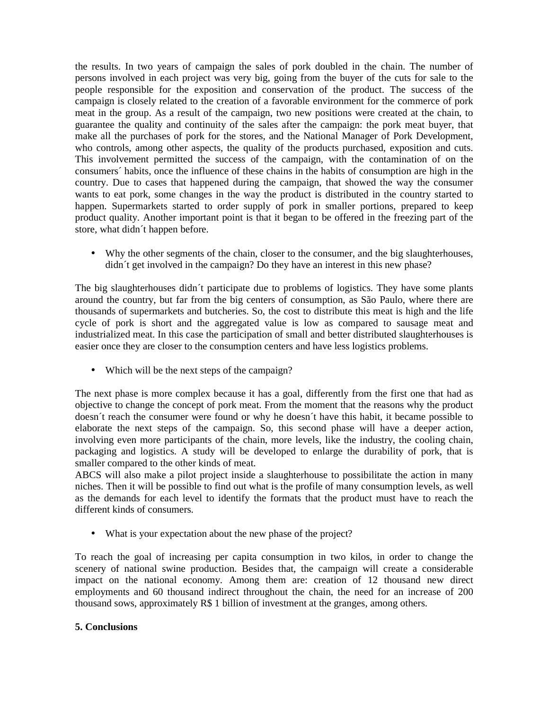the results. In two years of campaign the sales of pork doubled in the chain. The number of persons involved in each project was very big, going from the buyer of the cuts for sale to the people responsible for the exposition and conservation of the product. The success of the campaign is closely related to the creation of a favorable environment for the commerce of pork meat in the group. As a result of the campaign, two new positions were created at the chain, to guarantee the quality and continuity of the sales after the campaign: the pork meat buyer, that make all the purchases of pork for the stores, and the National Manager of Pork Development, who controls, among other aspects, the quality of the products purchased, exposition and cuts. This involvement permitted the success of the campaign, with the contamination of on the consumers´ habits, once the influence of these chains in the habits of consumption are high in the country. Due to cases that happened during the campaign, that showed the way the consumer wants to eat pork, some changes in the way the product is distributed in the country started to happen. Supermarkets started to order supply of pork in smaller portions, prepared to keep product quality. Another important point is that it began to be offered in the freezing part of the store, what didn´t happen before.

• Why the other segments of the chain, closer to the consumer, and the big slaughterhouses, didn´t get involved in the campaign? Do they have an interest in this new phase?

The big slaughterhouses didn´t participate due to problems of logistics. They have some plants around the country, but far from the big centers of consumption, as São Paulo, where there are thousands of supermarkets and butcheries. So, the cost to distribute this meat is high and the life cycle of pork is short and the aggregated value is low as compared to sausage meat and industrialized meat. In this case the participation of small and better distributed slaughterhouses is easier once they are closer to the consumption centers and have less logistics problems.

• Which will be the next steps of the campaign?

The next phase is more complex because it has a goal, differently from the first one that had as objective to change the concept of pork meat. From the moment that the reasons why the product doesn´t reach the consumer were found or why he doesn´t have this habit, it became possible to elaborate the next steps of the campaign. So, this second phase will have a deeper action, involving even more participants of the chain, more levels, like the industry, the cooling chain, packaging and logistics. A study will be developed to enlarge the durability of pork, that is smaller compared to the other kinds of meat.

ABCS will also make a pilot project inside a slaughterhouse to possibilitate the action in many niches. Then it will be possible to find out what is the profile of many consumption levels, as well as the demands for each level to identify the formats that the product must have to reach the different kinds of consumers.

• What is your expectation about the new phase of the project?

To reach the goal of increasing per capita consumption in two kilos, in order to change the scenery of national swine production. Besides that, the campaign will create a considerable impact on the national economy. Among them are: creation of 12 thousand new direct employments and 60 thousand indirect throughout the chain, the need for an increase of 200 thousand sows, approximately R\$ 1 billion of investment at the granges, among others.

### **5. Conclusions**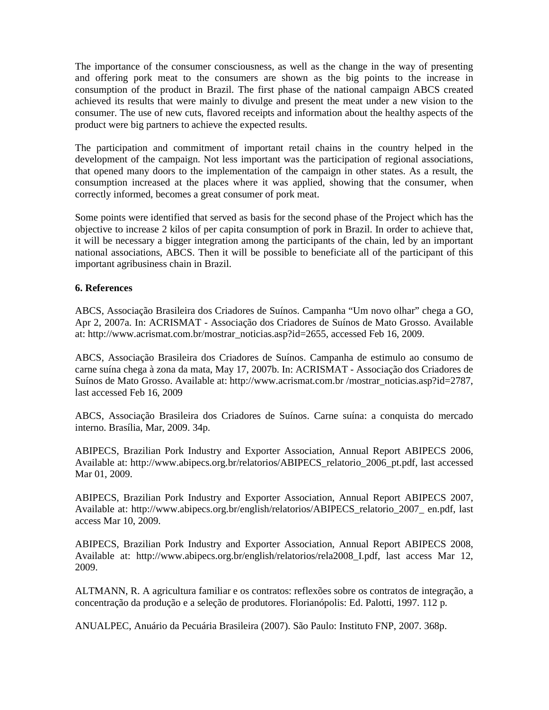The importance of the consumer consciousness, as well as the change in the way of presenting and offering pork meat to the consumers are shown as the big points to the increase in consumption of the product in Brazil. The first phase of the national campaign ABCS created achieved its results that were mainly to divulge and present the meat under a new vision to the consumer. The use of new cuts, flavored receipts and information about the healthy aspects of the product were big partners to achieve the expected results.

The participation and commitment of important retail chains in the country helped in the development of the campaign. Not less important was the participation of regional associations, that opened many doors to the implementation of the campaign in other states. As a result, the consumption increased at the places where it was applied, showing that the consumer, when correctly informed, becomes a great consumer of pork meat.

Some points were identified that served as basis for the second phase of the Project which has the objective to increase 2 kilos of per capita consumption of pork in Brazil. In order to achieve that, it will be necessary a bigger integration among the participants of the chain, led by an important national associations, ABCS. Then it will be possible to beneficiate all of the participant of this important agribusiness chain in Brazil.

## **6. References**

ABCS, Associação Brasileira dos Criadores de Suínos. Campanha "Um novo olhar" chega a GO, Apr 2, 2007a. In: ACRISMAT - Associação dos Criadores de Suínos de Mato Grosso. Available at: http://www.acrismat.com.br/mostrar\_noticias.asp?id=2655, accessed Feb 16, 2009.

ABCS, Associação Brasileira dos Criadores de Suínos. Campanha de estimulo ao consumo de carne suína chega à zona da mata, May 17, 2007b. In: ACRISMAT - Associação dos Criadores de Suínos de Mato Grosso. Available at: http://www.acrismat.com.br /mostrar\_noticias.asp?id=2787, last accessed Feb 16, 2009

ABCS, Associação Brasileira dos Criadores de Suínos. Carne suína: a conquista do mercado interno. Brasília, Mar, 2009. 34p.

ABIPECS, Brazilian Pork Industry and Exporter Association, Annual Report ABIPECS 2006, Available at: http://www.abipecs.org.br/relatorios/ABIPECS\_relatorio\_2006\_pt.pdf, last accessed Mar 01, 2009.

ABIPECS, Brazilian Pork Industry and Exporter Association, Annual Report ABIPECS 2007, Available at: http://www.abipecs.org.br/english/relatorios/ABIPECS\_relatorio\_2007\_ en.pdf, last access Mar 10, 2009.

ABIPECS, Brazilian Pork Industry and Exporter Association, Annual Report ABIPECS 2008, Available at: http://www.abipecs.org.br/english/relatorios/rela2008\_I.pdf, last access Mar 12, 2009.

ALTMANN, R. A agricultura familiar e os contratos: reflexões sobre os contratos de integração, a concentração da produção e a seleção de produtores. Florianópolis: Ed. Palotti, 1997. 112 p.

ANUALPEC, Anuário da Pecuária Brasileira (2007). São Paulo: Instituto FNP, 2007. 368p.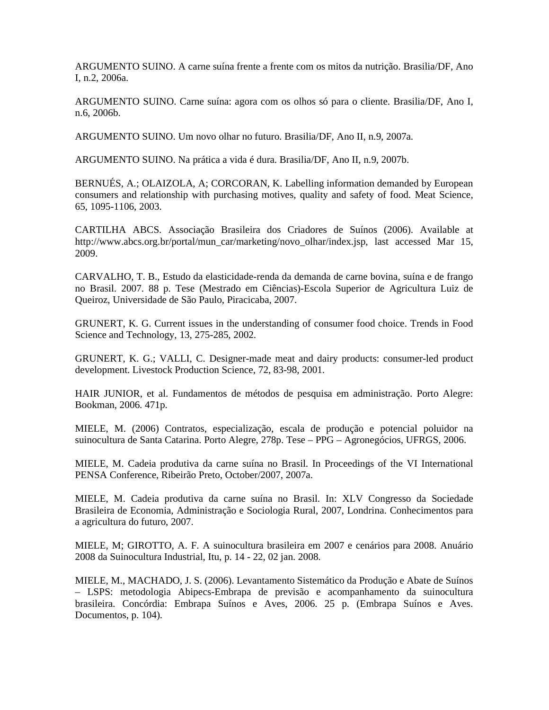ARGUMENTO SUINO. A carne suína frente a frente com os mitos da nutrição. Brasilia/DF, Ano I, n.2, 2006a.

ARGUMENTO SUINO. Carne suína: agora com os olhos só para o cliente. Brasilia/DF, Ano I, n.6, 2006b.

ARGUMENTO SUINO. Um novo olhar no futuro. Brasilia/DF, Ano II, n.9, 2007a.

ARGUMENTO SUINO. Na prática a vida é dura. Brasilia/DF, Ano II, n.9, 2007b.

BERNUÉS, A.; OLAIZOLA, A; CORCORAN, K. Labelling information demanded by European consumers and relationship with purchasing motives, quality and safety of food. Meat Science, 65, 1095-1106, 2003.

CARTILHA ABCS. Associação Brasileira dos Criadores de Suínos (2006). Available at http://www.abcs.org.br/portal/mun\_car/marketing/novo\_olhar/index.jsp, last accessed Mar 15, 2009.

CARVALHO, T. B., Estudo da elasticidade-renda da demanda de carne bovina, suína e de frango no Brasil. 2007. 88 p. Tese (Mestrado em Ciências)-Escola Superior de Agricultura Luiz de Queiroz, Universidade de São Paulo, Piracicaba, 2007.

GRUNERT, K. G. Current issues in the understanding of consumer food choice. Trends in Food Science and Technology, 13, 275-285, 2002.

GRUNERT, K. G.; VALLI, C. Designer-made meat and dairy products: consumer-led product development. Livestock Production Science, 72, 83-98, 2001.

HAIR JUNIOR, et al. Fundamentos de métodos de pesquisa em administração. Porto Alegre: Bookman, 2006. 471p.

MIELE, M. (2006) Contratos, especialização, escala de produção e potencial poluidor na suinocultura de Santa Catarina. Porto Alegre, 278p. Tese – PPG – Agronegócios, UFRGS, 2006.

MIELE, M. Cadeia produtiva da carne suína no Brasil. In Proceedings of the VI International PENSA Conference, Ribeirão Preto, October/2007, 2007a.

MIELE, M. Cadeia produtiva da carne suína no Brasil. In: XLV Congresso da Sociedade Brasileira de Economia, Administração e Sociologia Rural, 2007, Londrina. Conhecimentos para a agricultura do futuro, 2007.

MIELE, M; GIROTTO, A. F. A suinocultura brasileira em 2007 e cenários para 2008. Anuário 2008 da Suinocultura Industrial, Itu, p. 14 - 22, 02 jan. 2008.

MIELE, M., MACHADO, J. S. (2006). Levantamento Sistemático da Produção e Abate de Suínos – LSPS: metodologia Abipecs-Embrapa de previsão e acompanhamento da suinocultura brasileira. Concórdia: Embrapa Suínos e Aves, 2006. 25 p. (Embrapa Suínos e Aves. Documentos, p. 104).